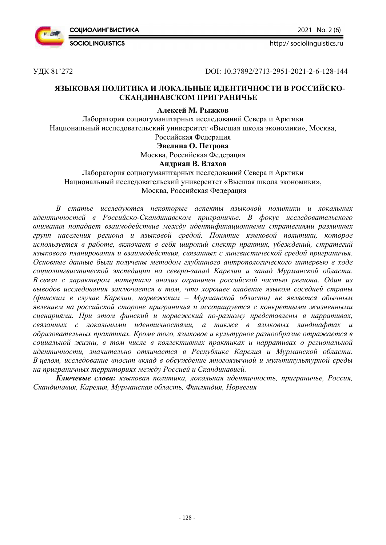

2021 No. 2 (6)

http:// sociolinguistics.ru

УДК 81'272 DOI: 10.37892/2713-2951-2021-2-6-128-144

## **ЯЗЫКОВАЯ ПОЛИТИКА И ЛОКАЛЬНЫЕ ИДЕНТИЧНОСТИ В РОССИЙСКО-СКАНДИНАВСКОМ ПРИГРАНИЧЬЕ**

## **Алексей М. Рыжков**

Лаборатория социогуманитарных исследований Севера и Арктики Национальный исследовательский университет «Высшая школа экономики», Москва, Российская Федерация

**Эвелина О. Петрова**

# Москва, Российская Федерация

## **Андриан В. Влахов**

Лаборатория социогуманитарных исследований Севера и Арктики Национальный исследовательский университет «Высшая школа экономики», Москва, Российская Федерация

*В статье исследуются некоторые аспекты языковой политики и локальных идентичностей в Российско-Скандинавском приграничье. В фокус исследовательского внимания попадает взаимодействие между идентификационными стратегиями различных групп населения региона и языковой средой. Понятие языковой политики, которое используется в работе, включает в себя широкий спектр практик, убеждений, стратегий языкового планирования и взаимодействия, связанных с лингвистической средой приграничья. Основные данные были получены методом глубинного антропологического интервью в ходе социолингвистической экспедиции на северо-запад Карелии и запад Мурманской области. В связи с характером материала анализ ограничен российской частью региона. Один из выводов исследования заключается в том, что хорошее владение языком соседней страны (финским в случае Карелии, норвежским – Мурманской области) не является обычным явлением на российской стороне приграничья и ассоциируется с конкретными жизненными сценариями. При этом финский и норвежский по-разному представлены в нарративах, связанных с локальными идентичностями, а также в языковых ландшафтах и образовательных практиках. Кроме того, языковое и культурное разнообразие отражается в социальной жизни, в том числе в коллективных практиках и нарративах о региональной идентичности, значительно отличается в Республике Карелия и Мурманской области. В целом, исследование вносит вклад в обсуждение многоязычной и мультикультурной среды на приграничных территориях между Россией и Скандинавией.* 

*Ключевые слова: языковая политика, локальная идентичность, приграничье, Россия, Скандинавия, Карелия, Мурманская область, Финляндия, Норвегия*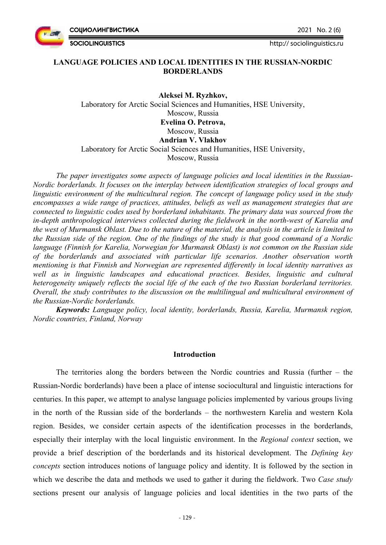2021 No. 2 (6)

**СОЦИОЛИНГВИСТИКА** 

**SOCIOLINGUISTICS** 

## **LANGUAGE POLICIES AND LOCAL IDENTITIES IN THE RUSSIAN-NORDIC BORDERLANDS**

**Aleksei M. Ryzhkov,**  Laboratory for Arctic Social Sciences and Humanities, HSE University, Moscow, Russia **Evelina O. Petrova,**  Moscow, Russia **Andrian V. Vlakhov**  Laboratory for Arctic Social Sciences and Humanities, HSE University, Moscow, Russia

*The paper investigates some aspects of language policies and local identities in the Russian-Nordic borderlands. It focuses on the interplay between identification strategies of local groups and linguistic environment of the multicultural region. The concept of language policy used in the study encompasses a wide range of practices, attitudes, beliefs as well as management strategies that are connected to linguistic codes used by borderland inhabitants. The primary data was sourced from the in-depth anthropological interviews collected during the fieldwork in the north-west of Karelia and the west of Murmansk Oblast. Due to the nature of the material, the analysis in the article is limited to the Russian side of the region. One of the findings of the study is that good command of a Nordic language (Finnish for Karelia, Norwegian for Murmansk Oblast) is not common on the Russian side of the borderlands and associated with particular life scenarios. Another observation worth mentioning is that Finnish and Norwegian are represented differently in local identity narratives as well as in linguistic landscapes and educational practices. Besides, linguistic and cultural heterogeneity uniquely reflects the social life of the each of the two Russian borderland territories. Overall, the study contributes to the discussion on the multilingual and multicultural environment of the Russian-Nordic borderlands.* 

*Keywords: Language policy, local identity, borderlands, Russia, Karelia, Murmansk region, Nordic countries, Finland, Norway* 

## **Introduction**

The territories along the borders between the Nordic countries and Russia (further – the Russian-Nordic borderlands) have been a place of intense sociocultural and linguistic interactions for centuries. In this paper, we attempt to analyse language policies implemented by various groups living in the north of the Russian side of the borderlands – the northwestern Karelia and western Kola region. Besides, we consider certain aspects of the identification processes in the borderlands, especially their interplay with the local linguistic environment. In the *Regional context* section, we provide a brief description of the borderlands and its historical development. The *Defining key concepts* section introduces notions of language policy and identity. It is followed by the section in which we describe the data and methods we used to gather it during the fieldwork. Two *Case study* sections present our analysis of language policies and local identities in the two parts of the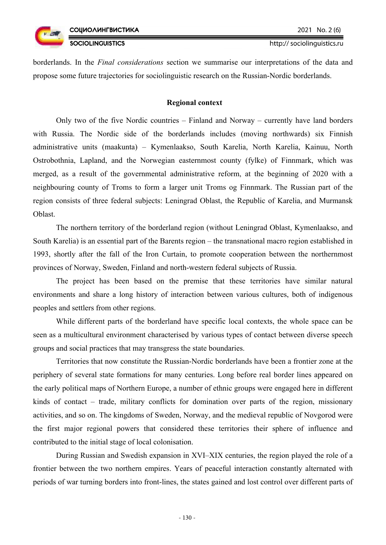borderlands. In the *Final considerations* section we summarise our interpretations of the data and propose some future trajectories for sociolinguistic research on the Russian-Nordic borderlands.

## **Regional context**

Only two of the five Nordic countries – Finland and Norway – currently have land borders with Russia. The Nordic side of the borderlands includes (moving northwards) six Finnish administrative units (maakunta) – Kymenlaakso, South Karelia, North Karelia, Kainuu, North Ostrobothnia, Lapland, and the Norwegian easternmost county (fylke) of Finnmark, which was merged, as a result of the governmental administrative reform, at the beginning of 2020 with a neighbouring county of Troms to form a larger unit Troms og Finnmark. The Russian part of the region consists of three federal subjects: Leningrad Oblast, the Republic of Karelia, and Murmansk Oblast.

The northern territory of the borderland region (without Leningrad Oblast, Kymenlaakso, and South Karelia) is an essential part of the Barents region – the transnational macro region established in 1993, shortly after the fall of the Iron Curtain, to promote cooperation between the northernmost provinces of Norway, Sweden, Finland and north-western federal subjects of Russia.

The project has been based on the premise that these territories have similar natural environments and share a long history of interaction between various cultures, both of indigenous peoples and settlers from other regions.

While different parts of the borderland have specific local contexts, the whole space can be seen as a multicultural environment characterised by various types of contact between diverse speech groups and social practices that may transgress the state boundaries.

Territories that now constitute the Russian-Nordic borderlands have been a frontier zone at the periphery of several state formations for many centuries. Long before real border lines appeared on the early political maps of Northern Europe, a number of ethnic groups were engaged here in different kinds of contact – trade, military conflicts for domination over parts of the region, missionary activities, and so on. The kingdoms of Sweden, Norway, and the medieval republic of Novgorod were the first major regional powers that considered these territories their sphere of influence and contributed to the initial stage of local colonisation.

During Russian and Swedish expansion in XVI–XIX centuries, the region played the role of a frontier between the two northern empires. Years of peaceful interaction constantly alternated with periods of war turning borders into front-lines, the states gained and lost control over different parts of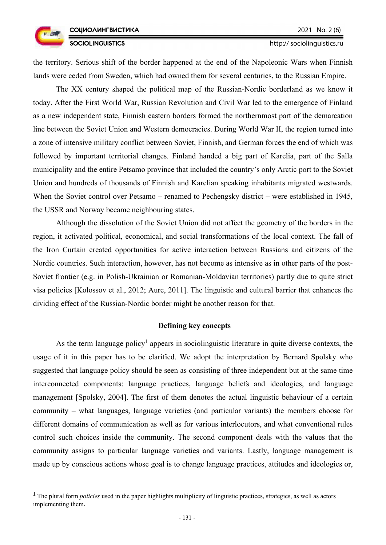the territory. Serious shift of the border happened at the end of the Napoleonic Wars when Finnish lands were ceded from Sweden, which had owned them for several centuries, to the Russian Empire.

The XX century shaped the political map of the Russian-Nordic borderland as we know it today. After the First World War, Russian Revolution and Civil War led to the emergence of Finland as a new independent state, Finnish eastern borders formed the northernmost part of the demarcation line between the Soviet Union and Western democracies. During World War II, the region turned into a zone of intensive military conflict between Soviet, Finnish, and German forces the end of which was followed by important territorial changes. Finland handed a big part of Karelia, part of the Salla municipality and the entire Petsamo province that included the country's only Arctic port to the Soviet Union and hundreds of thousands of Finnish and Karelian speaking inhabitants migrated westwards. When the Soviet control over Petsamo – renamed to Pechengsky district – were established in 1945, the USSR and Norway became neighbouring states.

Although the dissolution of the Soviet Union did not affect the geometry of the borders in the region, it activated political, economical, and social transformations of the local context. The fall of the Iron Curtain created opportunities for active interaction between Russians and citizens of the Nordic countries. Such interaction, however, has not become as intensive as in other parts of the post-Soviet frontier (e.g. in Polish-Ukrainian or Romanian-Moldavian territories) partly due to quite strict visa policies [Kolossov et al., 2012; Aure, 2011]. The linguistic and cultural barrier that enhances the dividing effect of the Russian-Nordic border might be another reason for that.

## **Defining key concepts**

As the term language policy<sup>1</sup> appears in sociolinguistic literature in quite diverse contexts, the usage of it in this paper has to be clarified. We adopt the interpretation by Bernard Spolsky who suggested that language policy should be seen as consisting of three independent but at the same time interconnected components: language practices, language beliefs and ideologies, and language management [Spolsky, 2004]. The first of them denotes the actual linguistic behaviour of a certain community – what languages, language varieties (and particular variants) the members choose for different domains of communication as well as for various interlocutors, and what conventional rules control such choices inside the community. The second component deals with the values that the community assigns to particular language varieties and variants. Lastly, language management is made up by conscious actions whose goal is to change language practices, attitudes and ideologies or,

<sup>&</sup>lt;sup>1</sup> The plural form *policies* used in the paper highlights multiplicity of linguistic practices, strategies, as well as actors implementing them.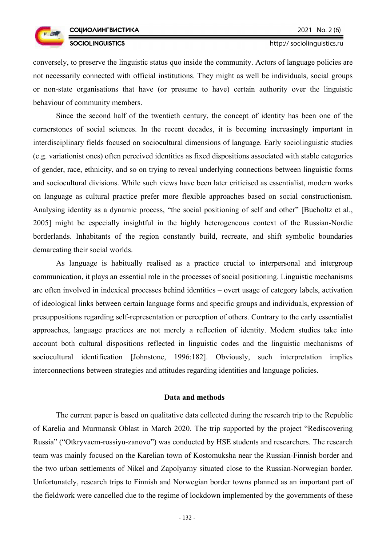



conversely, to preserve the linguistic status quo inside the community. Actors of language policies are not necessarily connected with official institutions. They might as well be individuals, social groups or non-state organisations that have (or presume to have) certain authority over the linguistic behaviour of community members.

Since the second half of the twentieth century, the concept of identity has been one of the cornerstones of social sciences. In the recent decades, it is becoming increasingly important in interdisciplinary fields focused on sociocultural dimensions of language. Early sociolinguistic studies (e.g. variationist ones) often perceived identities as fixed dispositions associated with stable categories of gender, race, ethnicity, and so on trying to reveal underlying connections between linguistic forms and sociocultural divisions. While such views have been later criticised as essentialist, modern works on language as cultural practice prefer more flexible approaches based on social constructionism. Analysing identity as a dynamic process, "the social positioning of self and other" [Bucholtz et al., 2005] might be especially insightful in the highly heterogeneous context of the Russian-Nordic borderlands. Inhabitants of the region constantly build, recreate, and shift symbolic boundaries demarcating their social worlds.

As language is habitually realised as a practice crucial to interpersonal and intergroup communication, it plays an essential role in the processes of social positioning. Linguistic mechanisms are often involved in indexical processes behind identities – overt usage of category labels, activation of ideological links between certain language forms and specific groups and individuals, expression of presuppositions regarding self-representation or perception of others. Contrary to the early essentialist approaches, language practices are not merely a reflection of identity. Modern studies take into account both cultural dispositions reflected in linguistic codes and the linguistic mechanisms of sociocultural identification [Johnstone, 1996:182]. Obviously, such interpretation implies interconnections between strategies and attitudes regarding identities and language policies.

## **Data and methods**

The current paper is based on qualitative data collected during the research trip to the Republic of Karelia and Murmansk Oblast in March 2020. The trip supported by the project "Rediscovering Russia" ("Otkryvaem-rossiyu-zanovo") was conducted by HSE students and researchers. The research team was mainly focused on the Karelian town of Kostomuksha near the Russian-Finnish border and the two urban settlements of Nikel and Zapolyarny situated close to the Russian-Norwegian border. Unfortunately, research trips to Finnish and Norwegian border towns planned as an important part of the fieldwork were cancelled due to the regime of lockdown implemented by the governments of these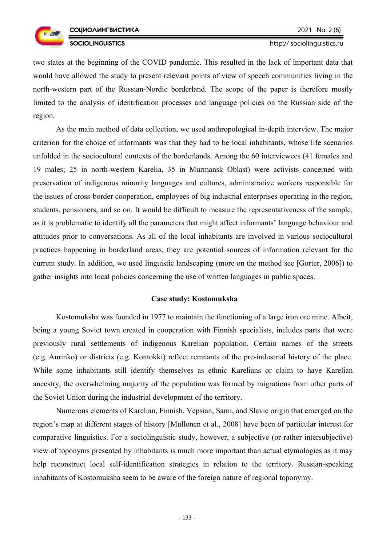

two states at the beginning of the COVID pandemic. This resulted in the lack of important data that would have allowed the study to present relevant points of view of speech communities living in the north-western part of the Russian-Nordic borderland. The scope of the paper is therefore mostly limited to the analysis of identification processes and language policies on the Russian side of the region.

As the main method of data collection, we used anthropological in-depth interview. The major criterion for the choice of informants was that they had to be local inhabitants, whose life scenarios unfolded in the sociocultural contexts of the borderlands. Among the 60 interviewees (41 females and 19 males; 25 in north-western Karelia, 35 in Murmansk Oblast) were activists concerned with preservation of indigenous minority languages and cultures, administrative workers responsible for the issues of cross-border cooperation, employees of big industrial enterprises operating in the region, students, pensioners, and so on. It would be difficult to measure the representativeness of the sample, as it is problematic to identify all the parameters that might affect informants' language behaviour and attitudes prior to conversations. As all of the local inhabitants are involved in various sociocultural practices happening in borderland areas, they are potential sources of information relevant for the current study. In addition, we used linguistic landscaping (more on the method see [Gorter, 2006]) to gather insights into local policies concerning the use of written languages in public spaces.

#### **Case study: Kostomuksha**

Kostomuksha was founded in 1977 to maintain the functioning of a large iron ore mine. Albeit, being a young Soviet town created in cooperation with Finnish specialists, includes parts that were previously rural settlements of indigenous Karelian population. Certain names of the streets (e.g. Aurinko) or districts (e.g. Kontokki) reflect remnants of the pre-industrial history of the place. While some inhabitants still identify themselves as ethnic Karelians or claim to have Karelian ancestry, the overwhelming majority of the population was formed by migrations from other parts of the Soviet Union during the industrial development of the territory.

Numerous elements of Karelian, Finnish, Vepsian, Sami, and Slavic origin that emerged on the region's map at different stages of history [Mullonen et al., 2008] have been of particular interest for comparative linguistics. For a sociolinguistic study, however, a subjective (or rather intersubjective) view of toponyms presented by inhabitants is much more important than actual etymologies as it may help reconstruct local self-identification strategies in relation to the territory. Russian-speaking inhabitants of Kostomuksha seem to be aware of the foreign nature of regional toponymy.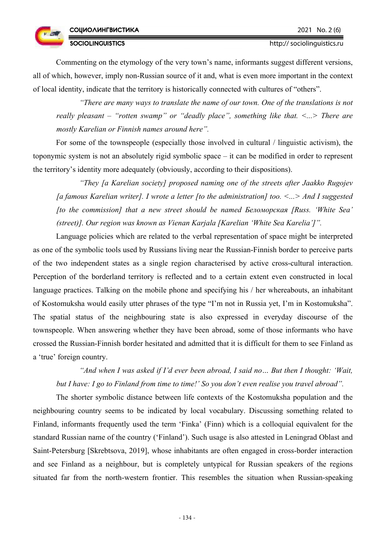## **SOCIOLINGUISTICS**

Commenting on the etymology of the very town's name, informants suggest different versions, all of which, however, imply non-Russian source of it and, what is even more important in the context of local identity, indicate that the territory is historically connected with cultures of "others".

*"There are many ways to translate the name of our town. One of the translations is not really pleasant – "rotten swamp" or "deadly place", something like that. <...> There are mostly Karelian or Finnish names around here".* 

For some of the townspeople (especially those involved in cultural / linguistic activism), the toponymic system is not an absolutely rigid symbolic space – it can be modified in order to represent the territory's identity more adequately (obviously, according to their dispositions).

*"They [a Karelian society] proposed naming one of the streets after Jaakko Rugojev [a famous Karelian writer]. I wrote a letter [to the administration] too. <...> And I suggested [to the commission] that a new street should be named Беломорская [Russ. 'White Sea' (street)]. Our region was known as Vienan Karjala [Karelian 'White Sea Karelia']".* 

Language policies which are related to the verbal representation of space might be interpreted as one of the symbolic tools used by Russians living near the Russian-Finnish border to perceive parts of the two independent states as a single region characterised by active cross-cultural interaction. Perception of the borderland territory is reflected and to a certain extent even constructed in local language practices. Talking on the mobile phone and specifying his / her whereabouts, an inhabitant of Kostomuksha would easily utter phrases of the type "I'm not in Russia yet, I'm in Kostomuksha". The spatial status of the neighbouring state is also expressed in everyday discourse of the townspeople. When answering whether they have been abroad, some of those informants who have crossed the Russian-Finnish border hesitated and admitted that it is difficult for them to see Finland as a 'true' foreign country.

*"And when I was asked if I'd ever been abroad, I said no… But then I thought: 'Wait, but I have: I go to Finland from time to time!' So you don't even realise you travel abroad".* 

The shorter symbolic distance between life contexts of the Kostomuksha population and the neighbouring country seems to be indicated by local vocabulary. Discussing something related to Finland, informants frequently used the term 'Finka' (Finn) which is a colloquial equivalent for the standard Russian name of the country ('Finland'). Such usage is also attested in Leningrad Oblast and Saint-Petersburg [Skrebtsova, 2019], whose inhabitants are often engaged in cross-border interaction and see Finland as a neighbour, but is completely untypical for Russian speakers of the regions situated far from the north-western frontier. This resembles the situation when Russian-speaking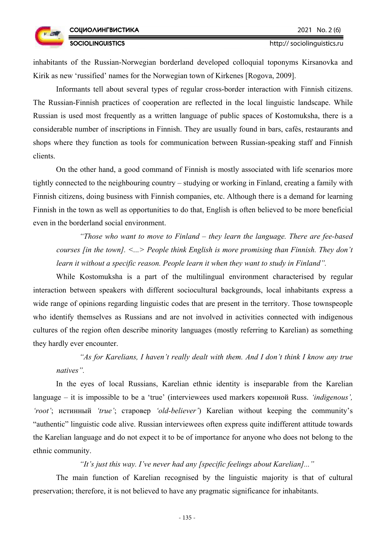http:// sociolinguistics.ru

inhabitants of the Russian-Norwegian borderland developed colloquial toponyms Kirsanovka and Kirik as new 'russified' names for the Norwegian town of Kirkenes [Rogova, 2009].

Informants tell about several types of regular cross-border interaction with Finnish citizens. The Russian-Finnish practices of cooperation are reflected in the local linguistic landscape. While Russian is used most frequently as a written language of public spaces of Kostomuksha, there is a considerable number of inscriptions in Finnish. They are usually found in bars, cafés, restaurants and shops where they function as tools for communication between Russian-speaking staff and Finnish clients.

On the other hand, a good command of Finnish is mostly associated with life scenarios more tightly connected to the neighbouring country – studying or working in Finland, creating a family with Finnish citizens, doing business with Finnish companies, etc. Although there is a demand for learning Finnish in the town as well as opportunities to do that, English is often believed to be more beneficial even in the borderland social environment.

*"Those who want to move to Finland – they learn the language. There are fee-based courses [in the town]. <...> People think English is more promising than Finnish. They don't learn it without a specific reason. People learn it when they want to study in Finland".* 

While Kostomuksha is a part of the multilingual environment characterised by regular interaction between speakers with different sociocultural backgrounds, local inhabitants express a wide range of opinions regarding linguistic codes that are present in the territory. Those townspeople who identify themselves as Russians and are not involved in activities connected with indigenous cultures of the region often describe minority languages (mostly referring to Karelian) as something they hardly ever encounter.

*"As for Karelians, I haven't really dealt with them. And I don't think I know any true natives".* 

In the eyes of local Russians, Karelian ethnic identity is inseparable from the Karelian language – it is impossible to be a 'true' (interviewees used markers коренной Russ. *'indigenous', 'root'*; истинный *'true'*; старовер *'old-believer'*) Karelian without keeping the community's "authentic" linguistic code alive. Russian interviewees often express quite indifferent attitude towards the Karelian language and do not expect it to be of importance for anyone who does not belong to the ethnic community.

## *"It's just this way. I've never had any [specific feelings about Karelian]..."*

The main function of Karelian recognised by the linguistic majority is that of cultural preservation; therefore, it is not believed to have any pragmatic significance for inhabitants.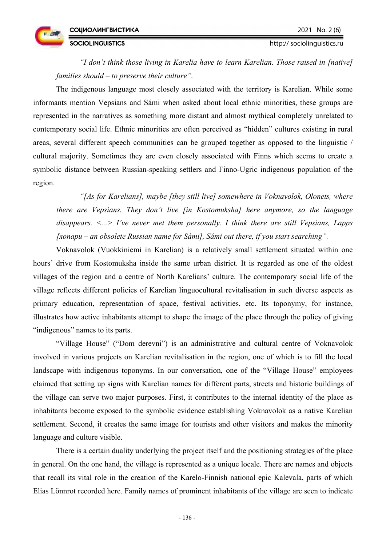**SOCIOLINGUISTICS** 



http:// sociolinguistics.ru

*"I don't think those living in Karelia have to learn Karelian. Those raised in [native] families should – to preserve their culture".* 

The indigenous language most closely associated with the territory is Karelian. While some informants mention Vepsians and Sámi when asked about local ethnic minorities, these groups are represented in the narratives as something more distant and almost mythical completely unrelated to contemporary social life. Ethnic minorities are often perceived as "hidden" cultures existing in rural areas, several different speech communities can be grouped together as opposed to the linguistic / cultural majority. Sometimes they are even closely associated with Finns which seems to create a symbolic distance between Russian-speaking settlers and Finno-Ugric indigenous population of the region.

*"[As for Karelians], maybe [they still live] somewhere in Voknavolok, Olonets, where there are Vepsians. They don't live [in Kostomuksha] here anymore, so the language disappears. <...> I've never met them personally. I think there are still Vepsians, Lapps [лопари – an obsolete Russian name for Sámi], Sámi out there, if you start searching".*

Voknavolok (Vuokkiniemi in Karelian) is a relatively small settlement situated within one hours' drive from Kostomuksha inside the same urban district. It is regarded as one of the oldest villages of the region and a centre of North Karelians' culture. The contemporary social life of the village reflects different policies of Karelian linguocultural revitalisation in such diverse aspects as primary education, representation of space, festival activities, etc. Its toponymy, for instance, illustrates how active inhabitants attempt to shape the image of the place through the policy of giving "indigenous" names to its parts.

"Village House" ("Dom derevni") is an administrative and cultural centre of Voknavolok involved in various projects on Karelian revitalisation in the region, one of which is to fill the local landscape with indigenous toponyms. In our conversation, one of the "Village House" employees claimed that setting up signs with Karelian names for different parts, streets and historic buildings of the village can serve two major purposes. First, it contributes to the internal identity of the place as inhabitants become exposed to the symbolic evidence establishing Voknavolok as a native Karelian settlement. Second, it creates the same image for tourists and other visitors and makes the minority language and culture visible.

There is a certain duality underlying the project itself and the positioning strategies of the place in general. On the one hand, the village is represented as a unique locale. There are names and objects that recall its vital role in the creation of the Karelo-Finnish national epic Kalevala, parts of which Elias Lönnrot recorded here. Family names of prominent inhabitants of the village are seen to indicate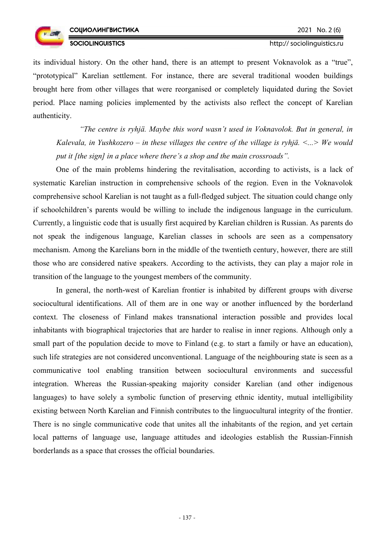

http:// sociolinguistics.ru

its individual history. On the other hand, there is an attempt to present Voknavolok as a "true", "prototypical" Karelian settlement. For instance, there are several traditional wooden buildings brought here from other villages that were reorganised or completely liquidated during the Soviet period. Place naming policies implemented by the activists also reflect the concept of Karelian authenticity.

*"The centre is ryhjä. Maybe this word wasn't used in Voknavolok. But in general, in Kalevala, in Yushkozero – in these villages the centre of the village is ryhjä. <...> We would put it [the sign] in a place where there's a shop and the main crossroads".* 

One of the main problems hindering the revitalisation, according to activists, is a lack of systematic Karelian instruction in comprehensive schools of the region. Even in the Voknavolok comprehensive school Karelian is not taught as a full-fledged subject. The situation could change only if schoolchildren's parents would be willing to include the indigenous language in the curriculum. Currently, a linguistic code that is usually first acquired by Karelian children is Russian. As parents do not speak the indigenous language, Karelian classes in schools are seen as a compensatory mechanism. Among the Karelians born in the middle of the twentieth century, however, there are still those who are considered native speakers. According to the activists, they can play a major role in transition of the language to the youngest members of the community.

In general, the north-west of Karelian frontier is inhabited by different groups with diverse sociocultural identifications. All of them are in one way or another influenced by the borderland context. The closeness of Finland makes transnational interaction possible and provides local inhabitants with biographical trajectories that are harder to realise in inner regions. Although only a small part of the population decide to move to Finland (e.g. to start a family or have an education), such life strategies are not considered unconventional. Language of the neighbouring state is seen as a communicative tool enabling transition between sociocultural environments and successful integration. Whereas the Russian-speaking majority consider Karelian (and other indigenous languages) to have solely a symbolic function of preserving ethnic identity, mutual intelligibility existing between North Karelian and Finnish contributes to the linguocultural integrity of the frontier. There is no single communicative code that unites all the inhabitants of the region, and yet certain local patterns of language use, language attitudes and ideologies establish the Russian-Finnish borderlands as a space that crosses the official boundaries.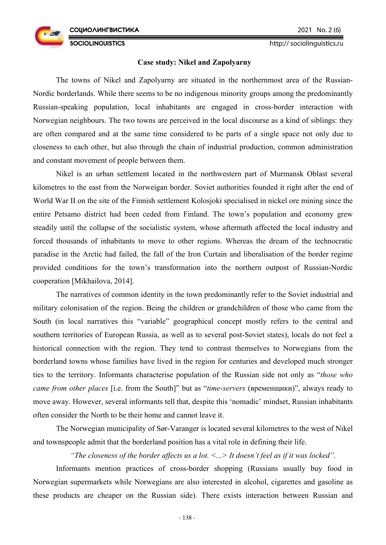http:// sociolinguistics.ru

### **Case study: Nikel and Zapolyarny**

The towns of Nikel and Zapolyarny are situated in the northernmost area of the Russian-Nordic borderlands. While there seems to be no indigenous minority groups among the predominantly Russian-speaking population, local inhabitants are engaged in cross-border interaction with Norwegian neighbours. The two towns are perceived in the local discourse as a kind of siblings: they are often compared and at the same time considered to be parts of a single space not only due to closeness to each other, but also through the chain of industrial production, common administration and constant movement of people between them.

Nikel is an urban settlement located in the northwestern part of Murmansk Oblast several kilometres to the east from the Norweigan border. Soviet authorities founded it right after the end of World War II on the site of the Finnish settlement Kolosjoki specialised in nickel ore mining since the entire Petsamo district had been ceded from Finland. The town's population and economy grew steadily until the collapse of the socialistic system, whose aftermath affected the local industry and forced thousands of inhabitants to move to other regions. Whereas the dream of the technocratic paradise in the Arctic had failed, the fall of the Iron Curtain and liberalisation of the border regime provided conditions for the town's transformation into the northern outpost of Russian-Nordic cooperation [Mikhailova, 2014].

The narratives of common identity in the town predominantly refer to the Soviet industrial and military colonisation of the region. Being the children or grandchildren of those who came from the South (in local narratives this "variable" geographical concept mostly refers to the central and southern territories of European Russia, as well as to several post-Soviet states), locals do not feel a historical connection with the region. They tend to contrast themselves to Norwegians from the borderland towns whose families have lived in the region for centuries and developed much stronger ties to the territory. Informants characterise population of the Russian side not only as "*those who came from other places* [i.e. from the South]" but as "*time-servers* (временщики)", always ready to move away. However, several informants tell that, despite this 'nomadic' mindset, Russian inhabitants often consider the North to be their home and cannot leave it.

The Norwegian municipality of Sør-Varanger is located several kilometres to the west of Nikel and townspeople admit that the borderland position has a vital role in defining their life.

### *"The closeness of the border affects us a lot. <...> It doesn't feel as if it was locked".*

Informants mention practices of cross-border shopping (Russians usually buy food in Norwegian supermarkets while Norwegians are also interested in alcohol, cigarettes and gasoline as these products are cheaper on the Russian side). There exists interaction between Russian and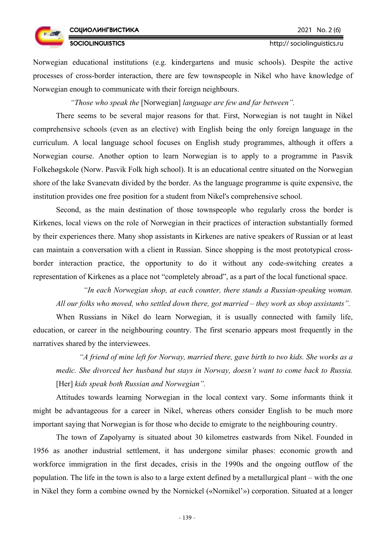**SOCIOLINGUISTICS** 



#### http:// sociolinguistics.ru

Norwegian educational institutions (e.g. kindergartens and music schools). Despite the active processes of cross-border interaction, there are few townspeople in Nikel who have knowledge of Norwegian enough to communicate with their foreign neighbours.

*"Those who speak the* [Norwegian] *language are few and far between".* 

There seems to be several major reasons for that. First, Norwegian is not taught in Nikel comprehensive schools (even as an elective) with English being the only foreign language in the curriculum. A local language school focuses on English study programmes, although it offers a Norwegian course. Another option to learn Norwegian is to apply to a programme in Pasvik Folkehøgskole (Norw. Pasvik Folk high school). It is an educational centre situated on the Norwegian shore of the lake Svanevatn divided by the border. As the language programme is quite expensive, the institution provides one free position for a student from Nikel's comprehensive school.

Second, as the main destination of those townspeople who regularly cross the border is Kirkenes, local views on the role of Norwegian in their practices of interaction substantially formed by their experiences there. Many shop assistants in Kirkenes are native speakers of Russian or at least can maintain a conversation with a client in Russian. Since shopping is the most prototypical crossborder interaction practice, the opportunity to do it without any code-switching creates a representation of Kirkenes as a place not "completely abroad", as a part of the local functional space.

*"In each Norwegian shop, at each counter, there stands a Russian-speaking woman. All our folks who moved, who settled down there, got married – they work as shop assistants".*

When Russians in Nikel do learn Norwegian, it is usually connected with family life, education, or career in the neighbouring country. The first scenario appears most frequently in the narratives shared by the interviewees.

*"A friend of mine left for Norway, married there, gave birth to two kids. She works as a medic. She divorced her husband but stays in Norway, doesn't want to come back to Russia.*  [Her] *kids speak both Russian and Norwegian".*

Attitudes towards learning Norwegian in the local context vary. Some informants think it might be advantageous for a career in Nikel, whereas others consider English to be much more important saying that Norwegian is for those who decide to emigrate to the neighbouring country.

The town of Zapolyarny is situated about 30 kilometres eastwards from Nikel. Founded in 1956 as another industrial settlement, it has undergone similar phases: economic growth and workforce immigration in the first decades, crisis in the 1990s and the ongoing outflow of the population. The life in the town is also to a large extent defined by a metallurgical plant – with the one in Nikel they form a combine owned by the Nornickel («Nornikel'») corporation. Situated at a longer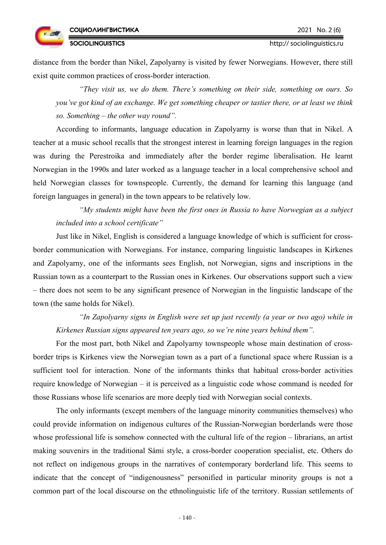http:// sociolinguistics.ru

**SOCIOLINGUISTICS** 

distance from the border than Nikel, Zapolyarny is visited by fewer Norwegians. However, there still exist quite common practices of cross-border interaction.

*"They visit us, we do them. There's something on their side, something on ours. So you've got kind of an exchange. We get something cheaper or tastier there, or at least we think so. Something – the other way round".* 

According to informants, language education in Zapolyarny is worse than that in Nikel. A teacher at a music school recalls that the strongest interest in learning foreign languages in the region was during the Perestroika and immediately after the border regime liberalisation. He learnt Norwegian in the 1990s and later worked as a language teacher in a local comprehensive school and held Norwegian classes for townspeople. Currently, the demand for learning this language (and foreign languages in general) in the town appears to be relatively low.

*"My students might have been the first ones in Russia to have Norwegian as a subject included into a school certificate"* 

Just like in Nikel, English is considered a language knowledge of which is sufficient for crossborder communication with Norwegians. For instance, comparing linguistic landscapes in Kirkenes and Zapolyarny, one of the informants sees English, not Norwegian, signs and inscriptions in the Russian town as a counterpart to the Russian ones in Kirkenes. Our observations support such a view – there does not seem to be any significant presence of Norwegian in the linguistic landscape of the town (the same holds for Nikel).

*"In Zapolyarny signs in English were set up just recently (a year or two ago) while in Kirkenes Russian signs appeared ten years ago, so we're nine years behind them"*.

For the most part, both Nikel and Zapolyarny townspeople whose main destination of crossborder trips is Kirkenes view the Norwegian town as a part of a functional space where Russian is a sufficient tool for interaction. None of the informants thinks that habitual cross-border activities require knowledge of Norwegian – it is perceived as a linguistic code whose command is needed for those Russians whose life scenarios are more deeply tied with Norwegian social contexts.

The only informants (except members of the language minority communities themselves) who could provide information on indigenous cultures of the Russian-Norwegian borderlands were those whose professional life is somehow connected with the cultural life of the region – librarians, an artist making souvenirs in the traditional Sámi style, a cross-border cooperation specialist, etc. Others do not reflect on indigenous groups in the narratives of contemporary borderland life. This seems to indicate that the concept of "indigenousness" personified in particular minority groups is not a common part of the local discourse on the ethnolinguistic life of the territory. Russian settlements of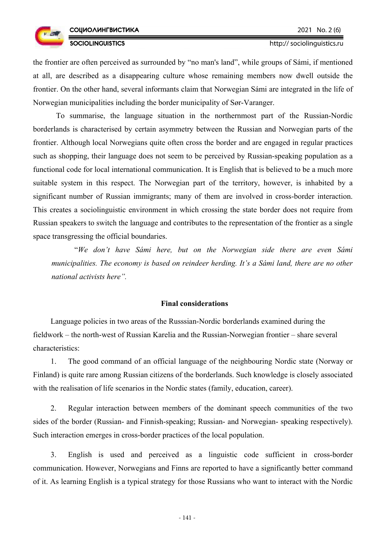

the frontier are often perceived as surrounded by "no man's land", while groups of Sámi, if mentioned at all, are described as a disappearing culture whose remaining members now dwell outside the frontier. On the other hand, several informants claim that Norwegian Sámi are integrated in the life of Norwegian municipalities including the border municipality of Sør-Varanger.

To summarise, the language situation in the northernmost part of the Russian-Nordic borderlands is characterised by certain asymmetry between the Russian and Norwegian parts of the frontier. Although local Norwegians quite often cross the border and are engaged in regular practices such as shopping, their language does not seem to be perceived by Russian-speaking population as a functional code for local international communication. It is English that is believed to be a much more suitable system in this respect. The Norwegian part of the territory, however, is inhabited by a significant number of Russian immigrants; many of them are involved in cross-border interaction. This creates a sociolinguistic environment in which crossing the state border does not require from Russian speakers to switch the language and contributes to the representation of the frontier as a single space transgressing the official boundaries.

"*We don't have Sámi here, but on the Norwegian side there are even Sámi municipalities. The economy is based on reindeer herding. It's a Sámi land, there are no other national activists here".* 

#### **Final considerations**

Language policies in two areas of the Russsian-Nordic borderlands examined during the fieldwork – the north-west of Russian Karelia and the Russian-Norwegian frontier – share several characteristics:

1. The good command of an official language of the neighbouring Nordic state (Norway or Finland) is quite rare among Russian citizens of the borderlands. Such knowledge is closely associated with the realisation of life scenarios in the Nordic states (family, education, career).

2. Regular interaction between members of the dominant speech communities of the two sides of the border (Russian- and Finnish-speaking; Russian- and Norwegian- speaking respectively). Such interaction emerges in cross-border practices of the local population.

3. English is used and perceived as a linguistic code sufficient in cross-border communication. However, Norwegians and Finns are reported to have a significantly better command of it. As learning English is a typical strategy for those Russians who want to interact with the Nordic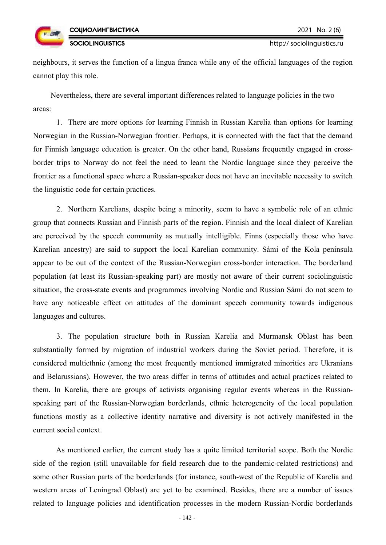

http:// sociolinguistics.ru

neighbours, it serves the function of a lingua franca while any of the official languages of the region cannot play this role.

Nevertheless, there are several important differences related to language policies in the two areas:

1. There are more options for learning Finnish in Russian Karelia than options for learning Norwegian in the Russian-Norwegian frontier. Perhaps, it is connected with the fact that the demand for Finnish language education is greater. On the other hand, Russians frequently engaged in crossborder trips to Norway do not feel the need to learn the Nordic language since they perceive the frontier as a functional space where a Russian-speaker does not have an inevitable necessity to switch the linguistic code for certain practices.

2. Northern Karelians, despite being a minority, seem to have a symbolic role of an ethnic group that connects Russian and Finnish parts of the region. Finnish and the local dialect of Karelian are perceived by the speech community as mutually intelligible. Finns (especially those who have Karelian ancestry) are said to support the local Karelian community. Sámi of the Kola peninsula appear to be out of the context of the Russian-Norwegian cross-border interaction. The borderland population (at least its Russian-speaking part) are mostly not aware of their current sociolinguistic situation, the cross-state events and programmes involving Nordic and Russian Sámi do not seem to have any noticeable effect on attitudes of the dominant speech community towards indigenous languages and cultures.

3. The population structure both in Russian Karelia and Murmansk Oblast has been substantially formed by migration of industrial workers during the Soviet period. Therefore, it is considered multiethnic (among the most frequently mentioned immigrated minorities are Ukranians and Belarussians). However, the two areas differ in terms of attitudes and actual practices related to them. In Karelia, there are groups of activists organising regular events whereas in the Russianspeaking part of the Russian-Norwegian borderlands, ethnic heterogeneity of the local population functions mostly as a collective identity narrative and diversity is not actively manifested in the current social context.

As mentioned earlier, the current study has a quite limited territorial scope. Both the Nordic side of the region (still unavailable for field research due to the pandemic-related restrictions) and some other Russian parts of the borderlands (for instance, south-west of the Republic of Karelia and western areas of Leningrad Oblast) are yet to be examined. Besides, there are a number of issues related to language policies and identification processes in the modern Russian-Nordic borderlands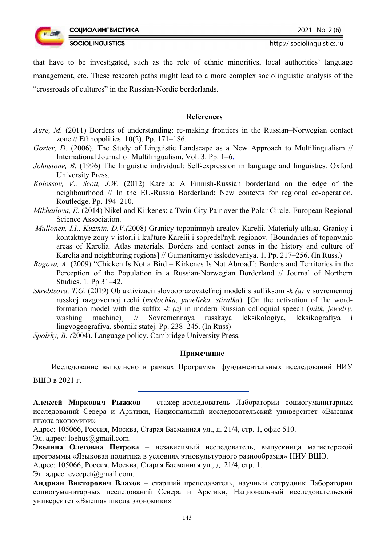

**SOCIOLINGUISTICS** 

that have to be investigated, such as the role of ethnic minorities, local authorities' language management, etc. These research paths might lead to a more complex sociolinguistic analysis of the "crossroads of cultures" in the Russian-Nordic borderlands.

## **References**

- *Aure, M.* (2011) Borders of understanding: re-making frontiers in the Russian–Norwegian contact zone // Ethnopolitics. 10(2). Pp. 171–186.
- *Gorter, D.* (2006). The Study of Linguistic Landscape as a New Approach to Multilingualism // International Journal of Multilingualism. Vol. 3. Pp. 1–6.
- *Johnstone, B*. (1996) The linguistic individual: Self-expression in language and linguistics. Oxford University Press.
- *Kolossov, V., Scott, J.W.* (2012) Karelia: A Finnish-Russian borderland on the edge of the neighbourhood // In the EU-Russia Borderland: New contexts for regional co-operation. Routledge. Pp. 194–210.
- *Mikhailova, E.* (2014) Nikel and Kirkenes: a Twin City Pair over the Polar Circle. European Regional Science Association.
- *Mullonen, I.I., Kuzmin, D.V.(*2008) Granicy toponimnyh arealov Karelii. Materialy atlasa. Granicy i kontaktnye zony v istorii i kul'ture Karelii i sopredel'nyh regionov. [Boundaries of toponymic areas of Karelia. Atlas materials. Borders and contact zones in the history and culture of Karelia and neighboring regions] // Gumanitarnye issledovaniya. 1. Pp. 217–256. (In Russ.)
- *Rogova, A.* (2009) "Chicken Is Not a Bird Kirkenes Is Not Abroad": Borders and Territories in the Perception of the Population in a Russian-Norwegian Borderland // Journal of Northern Studies. 1. Pp 31–42.
- *Skrebtsova, T.G.* (2019) Ob aktivizacii slovoobrazovatel'noj modeli s suffiksom *-k (a)* v sovremennoj russkoj razgovornoj rechi (*molochka, yuvelirka, stiralka*). [On the activation of the wordformation model with the suffix *-k (a)* in modern Russian colloquial speech (*milk, jewelry,* washing machine)] // Sovremennaya russkaya leksikologiya, leksikografiya i lingvogeografiya, sbornik statej. Pp. 238–245. (In Russ)

*Spolsky, B. (*2004). Language policy. Cambridge University Press.

## **Примечание**

Исследование выполнено в рамках Программы фундаментальных исследований НИУ ВШЭ в 2021 г.

**Алексей Маркович Рыжков –** стажер-исследователь Лаборатории социогуманитарных исследований Севера и Арктики, Национальный исследовательский университет «Высшая школа экономики»

Адрес: 105066, Россия, Москва, Старая Басманная ул., д. 21/4, стр. 1, офис 510.

Эл. адрес: loehus@gmail.com.

**Эвелина Олеговна Петрова** – независимый исследователь, выпускница магистерской программы «Языковая политика в условиях этнокультурного разнообразия» НИУ ВШЭ.

Адрес: 105066, Россия, Москва, Старая Басманная ул., д. 21/4, стр. 1.

Эл. адрес: eveepet $(a)$ gmail.com.

**Андриан Викторович Влахов** – старший преподаватель, научный сотрудник Лаборатории социогуманитарных исследований Севера и Арктики, Национальный исследовательский университет «Высшая школа экономики»